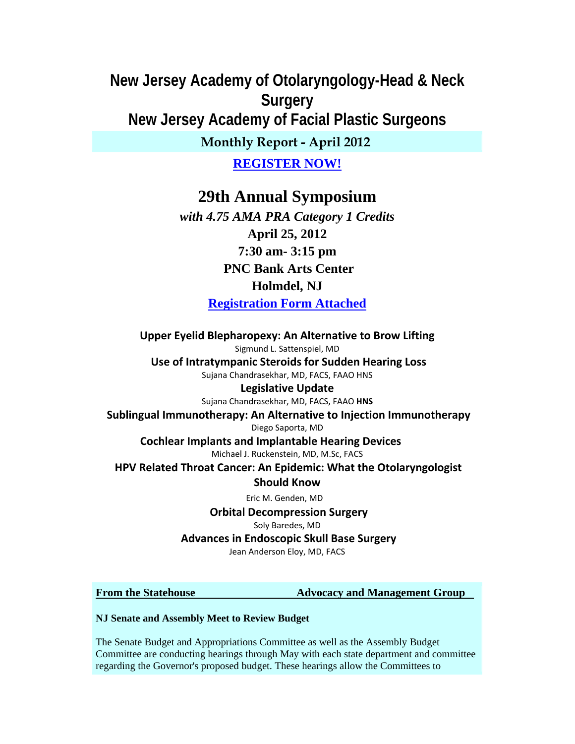# **New Jersey Academy of Otolaryngology-Head & Neck Surgery New Jersey Academy of Facial Plastic Surgeons**

## **Monthly Report - April 2012**

## **REGISTER NOW!**

# **29th Annual Symposium**

*with 4.75 AMA PRA Category 1 Credits* **April 25, 2012 7:30 am- 3:15 pm PNC Bank Arts Center Holmdel, NJ Registration Form Attached** 

**Upper Eyelid Blepharopexy: An Alternative to Brow Lifting** Sigmund L. Sattenspiel, MD **Use of Intratympanic Steroids for Sudden Hearing Loss** Sujana Chandrasekhar, MD, FACS, FAAO HNS **Legislative Update**

Sujana Chandrasekhar, MD, FACS, FAAO **HNS**

**Sublingual Immunotherapy: An Alternative to Injection Immunotherapy** Diego Saporta, MD **Cochlear Implants and Implantable Hearing Devices** 

Michael J. Ruckenstein, MD, M.Sc, FACS

**HPV Related Throat Cancer: An Epidemic: What the Otolaryngologist**

### **Should Know**

Eric M. Genden, MD

**Orbital Decompression Surgery**

Soly Baredes, MD

**Advances in Endoscopic Skull Base Surgery**

Jean Anderson Eloy, MD, FACS

**From the Statehouse 3.2 Advocacy and Management Group** 

#### **NJ Senate and Assembly Meet to Review Budget**

The Senate Budget and Appropriations Committee as well as the Assembly Budget Committee are conducting hearings through May with each state department and committee regarding the Governor's proposed budget. These hearings allow the Committees to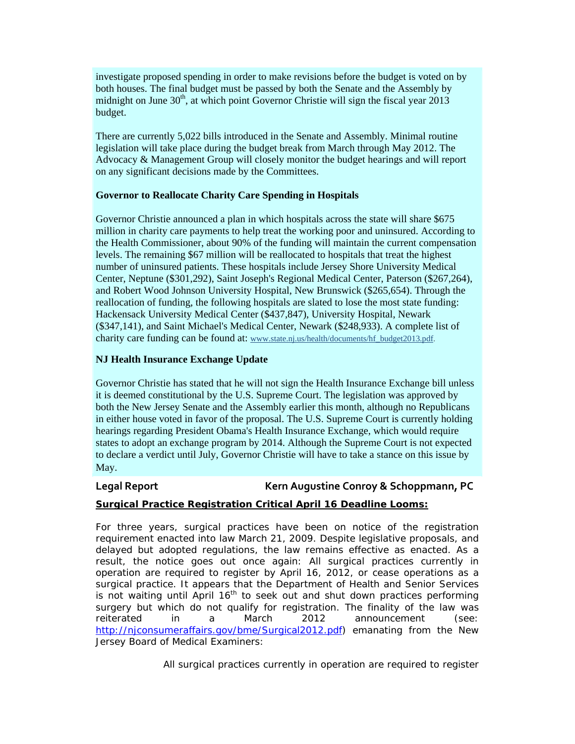investigate proposed spending in order to make revisions before the budget is voted on by both houses. The final budget must be passed by both the Senate and the Assembly by midnight on June  $30<sup>th</sup>$ , at which point Governor Christie will sign the fiscal year 2013 budget.

There are currently 5,022 bills introduced in the Senate and Assembly. Minimal routine legislation will take place during the budget break from March through May 2012. The Advocacy & Management Group will closely monitor the budget hearings and will report on any significant decisions made by the Committees.

#### **Governor to Reallocate Charity Care Spending in Hospitals**

Governor Christie announced a plan in which hospitals across the state will share \$675 million in charity care payments to help treat the working poor and uninsured. According to the Health Commissioner, about 90% of the funding will maintain the current compensation levels. The remaining \$67 million will be reallocated to hospitals that treat the highest number of uninsured patients. These hospitals include Jersey Shore University Medical Center, Neptune (\$301,292), Saint Joseph's Regional Medical Center, Paterson (\$267,264), and Robert Wood Johnson University Hospital, New Brunswick (\$265,654). Through the reallocation of funding, the following hospitals are slated to lose the most state funding: Hackensack University Medical Center (\$437,847), University Hospital, Newark (\$347,141), and Saint Michael's Medical Center, Newark (\$248,933). A complete list of charity care funding can be found at: www.state.nj.us/health/documents/hf\_budget2013.pdf.

#### **NJ Health Insurance Exchange Update**

Governor Christie has stated that he will not sign the Health Insurance Exchange bill unless it is deemed constitutional by the U.S. Supreme Court. The legislation was approved by both the New Jersey Senate and the Assembly earlier this month, although no Republicans in either house voted in favor of the proposal. The U.S. Supreme Court is currently holding hearings regarding President Obama's Health Insurance Exchange, which would require states to adopt an exchange program by 2014. Although the Supreme Court is not expected to declare a verdict until July, Governor Christie will have to take a stance on this issue by May.

#### **Legal Report Kern Augustine Conroy & Schoppmann, PC**

#### **Surgical Practice Registration Critical April 16 Deadline Looms:**

For three years, surgical practices have been on notice of the registration requirement enacted into law March 21, 2009. Despite legislative proposals, and delayed but adopted regulations, the law remains effective as enacted. As a result, the notice goes out once again: All surgical practices currently in operation are required to register by April 16, 2012, or cease operations as a surgical practice. It appears that the Department of Health and Senior Services is not waiting until April  $16<sup>th</sup>$  to seek out and shut down practices performing surgery but which do not qualify for registration. The finality of the law was reiterated in a March 2012 announcement (see: http://njconsumeraffairs.gov/bme/Surgical2012.pdf) emanating from the New Jersey Board of Medical Examiners:

All surgical practices currently in operation are required to register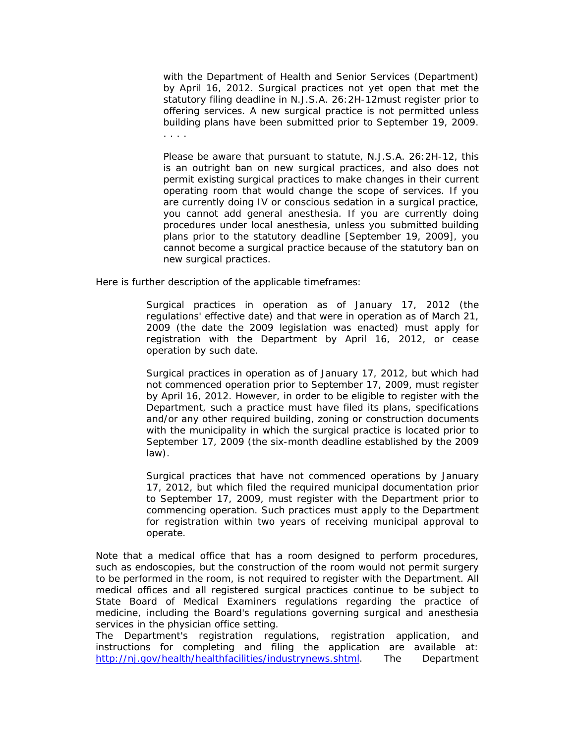with the Department of Health and Senior Services (Department) by April 16, 2012. Surgical practices not yet open that met the statutory filing deadline in N.J.S.A. 26:2H-12must register prior to offering services. A new surgical practice is not permitted unless building plans have been submitted prior to September 19, 2009. . . . .

Please be aware that pursuant to statute, N.J.S.A. 26:2H-12, this is an outright ban on new surgical practices, and also does not permit existing surgical practices to make changes in their current operating room that would change the scope of services. If you are currently doing IV or conscious sedation in a surgical practice, you cannot add general anesthesia. If you are currently doing procedures under local anesthesia, unless you submitted building plans prior to the statutory deadline [September 19, 2009], you cannot become a surgical practice because of the statutory ban on new surgical practices.

Here is further description of the applicable timeframes:

Surgical practices in operation as of January 17, 2012 (the regulations' effective date) and that were in operation as of March 21, 2009 (the date the 2009 legislation was enacted) must apply for registration with the Department by April 16, 2012, or cease operation by such date.

Surgical practices in operation as of January 17, 2012, but which had not commenced operation prior to September 17, 2009, must register by April 16, 2012. However, in order to be eligible to register with the Department, such a practice must have filed its plans, specifications and/or any other required building, zoning or construction documents with the municipality in which the surgical practice is located prior to September 17, 2009 (the six-month deadline established by the 2009 law).

Surgical practices that have not commenced operations by January 17, 2012, but which filed the required municipal documentation prior to September 17, 2009, must register with the Department prior to commencing operation. Such practices must apply to the Department for registration within two years of receiving municipal approval to operate.

Note that a medical office that has a room designed to perform procedures, such as endoscopies, but the construction of the room would not permit surgery to be performed in the room, is not required to register with the Department. All medical offices and all registered surgical practices continue to be subject to State Board of Medical Examiners regulations regarding the practice of medicine, including the Board's regulations governing surgical and anesthesia services in the physician office setting.

The Department's registration regulations, registration application, and instructions for completing and filing the application are available at: http://nj.gov/health/healthfacilities/industrynews.shtml. The Department